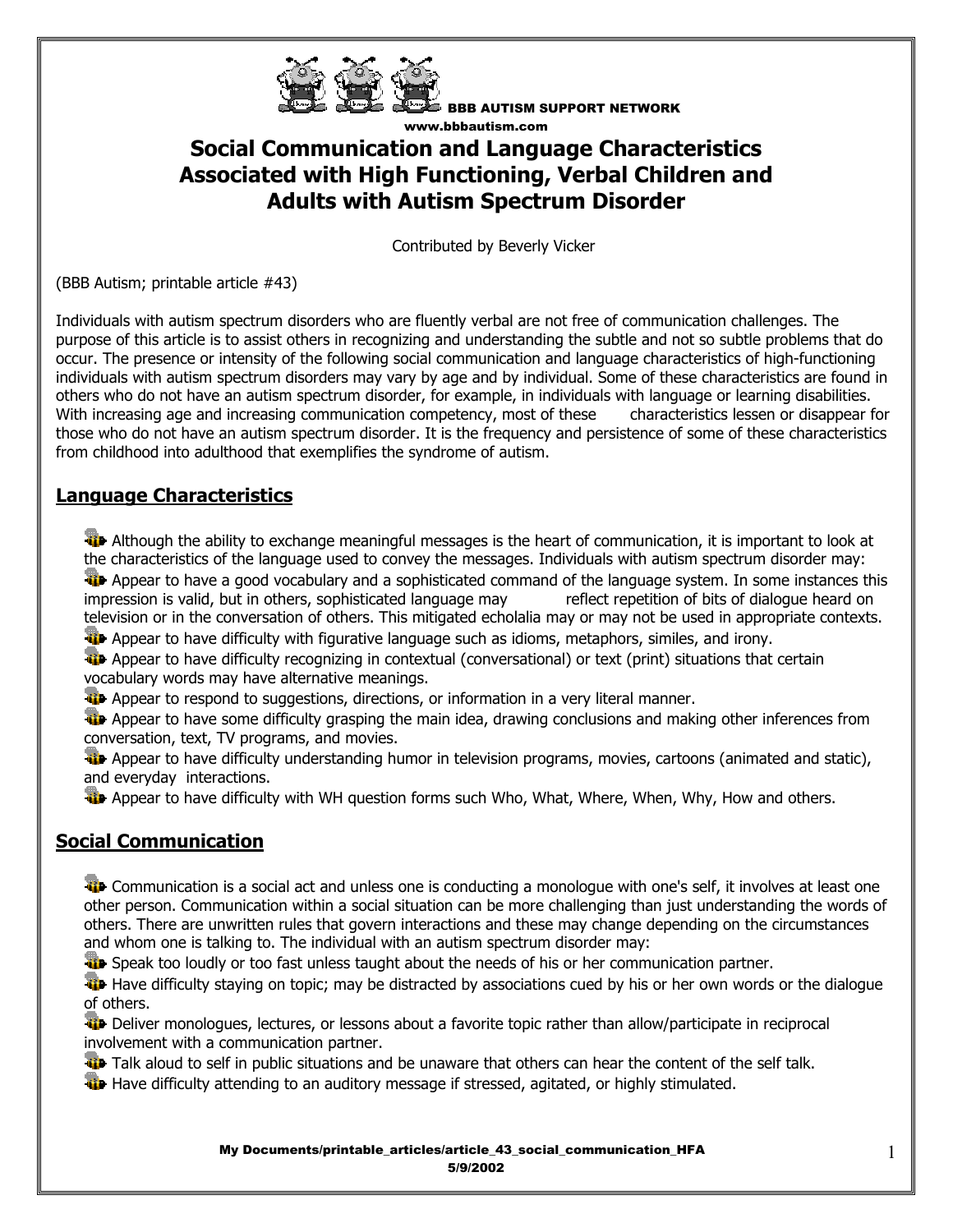

BBB AUTISM SUPPORT NETWORK www.bbbautism.com

# **Social Communication and Language Characteristics Associated with High Functioning, Verbal Children and Adults with Autism Spectrum Disorder**

Contributed by Beverly Vicker

(BBB Autism; printable article #43)

Individuals with autism spectrum disorders who are fluently verbal are not free of communication challenges. The purpose of this article is to assist others in recognizing and understanding the subtle and not so subtle problems that do occur. The presence or intensity of the following social communication and language characteristics of high-functioning individuals with autism spectrum disorders may vary by age and by individual. Some of these characteristics are found in others who do not have an autism spectrum disorder, for example, in individuals with language or learning disabilities. With increasing age and increasing communication competency, most of these characteristics lessen or disappear for those who do not have an autism spectrum disorder. It is the frequency and persistence of some of these characteristics from childhood into adulthood that exemplifies the syndrome of autism.

#### **Language Characteristics**

 Although the ability to exchange meaningful messages is the heart of communication, it is important to look at the characteristics of the language used to convey the messages. Individuals with autism spectrum disorder may: **Appear to have a good vocabulary and a sophisticated command of the language system. In some instances this** impression is valid, but in others, sophisticated language may reflect repetition of bits of dialogue heard on television or in the conversation of others. This mitigated echolalia may or may not be used in appropriate contexts.

**Appear to have difficulty with figurative language such as idioms, metaphors, similes, and irony.** 

**Appear to have difficulty recognizing in contextual (conversational) or text (print) situations that certain** vocabulary words may have alternative meanings.

Appear to respond to suggestions, directions, or information in a very literal manner.

**A** Appear to have some difficulty grasping the main idea, drawing conclusions and making other inferences from conversation, text, TV programs, and movies.

**Appear to have difficulty understanding humor in television programs, movies, cartoons (animated and static),** and everyday interactions.

**Appear to have difficulty with WH question forms such Who, What, Where, When, Why, How and others.** 

### **Social Communication**

**The Communication is a social act and unless one is conducting a monologue with one's self, it involves at least one** other person. Communication within a social situation can be more challenging than just understanding the words of others. There are unwritten rules that govern interactions and these may change depending on the circumstances and whom one is talking to. The individual with an autism spectrum disorder may:

**Speak too loudly or too fast unless taught about the needs of his or her communication partner.** 

**Have difficulty staying on topic; may be distracted by associations cued by his or her own words or the dialogue** of others.

 Deliver monologues, lectures, or lessons about a favorite topic rather than allow/participate in reciprocal involvement with a communication partner.

Talk aloud to self in public situations and be unaware that others can hear the content of the self talk.

**Have difficulty attending to an auditory message if stressed, agitated, or highly stimulated.**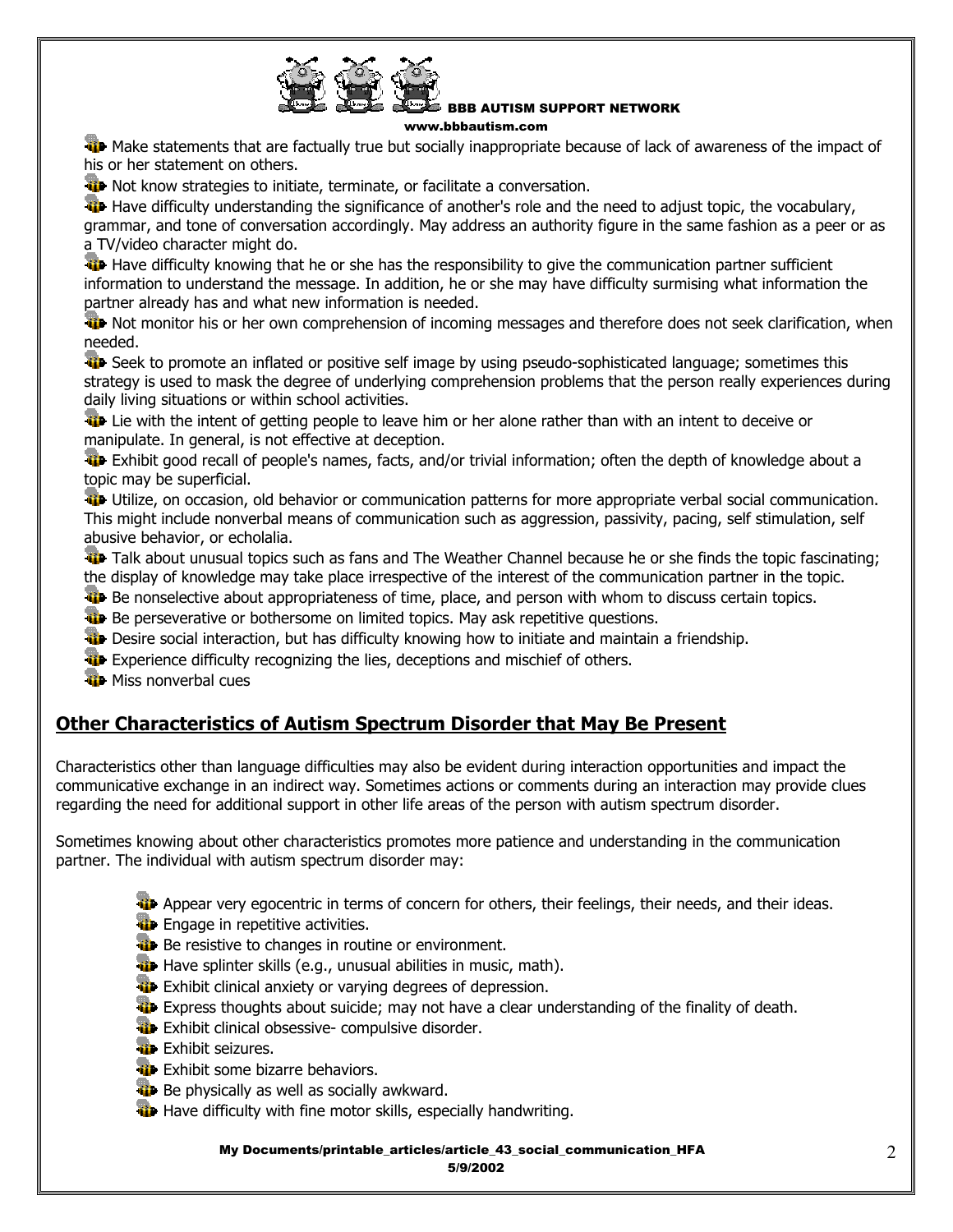

## BBB AUTISM SUPPORT NETWORK

www.bbbautism.com

We Make statements that are factually true but socially inappropriate because of lack of awareness of the impact of his or her statement on others.

**W** Not know strategies to initiate, terminate, or facilitate a conversation.

Have difficulty understanding the significance of another's role and the need to adjust topic, the vocabulary, grammar, and tone of conversation accordingly. May address an authority figure in the same fashion as a peer or as a TV/video character might do.

Have difficulty knowing that he or she has the responsibility to give the communication partner sufficient information to understand the message. In addition, he or she may have difficulty surmising what information the partner already has and what new information is needed.

 Not monitor his or her own comprehension of incoming messages and therefore does not seek clarification, when needed.

The Seek to promote an inflated or positive self image by using pseudo-sophisticated language; sometimes this strategy is used to mask the degree of underlying comprehension problems that the person really experiences during daily living situations or within school activities.

**Li** Lie with the intent of getting people to leave him or her alone rather than with an intent to deceive or manipulate. In general, is not effective at deception.

 Exhibit good recall of people's names, facts, and/or trivial information; often the depth of knowledge about a topic may be superficial.

 Utilize, on occasion, old behavior or communication patterns for more appropriate verbal social communication. This might include nonverbal means of communication such as aggression, passivity, pacing, self stimulation, self abusive behavior, or echolalia.

Talk about unusual topics such as fans and The Weather Channel because he or she finds the topic fascinating; the display of knowledge may take place irrespective of the interest of the communication partner in the topic.

**Be nonselective about appropriateness of time, place, and person with whom to discuss certain topics.** 

**Be perseverative or bothersome on limited topics. May ask repetitive questions.** 

- **Desire social interaction, but has difficulty knowing how to initiate and maintain a friendship.**
- **Experience difficulty recognizing the lies, deceptions and mischief of others.**

**W** Miss nonverbal cues

#### **Other Characteristics of Autism Spectrum Disorder that May Be Present**

Characteristics other than language difficulties may also be evident during interaction opportunities and impact the communicative exchange in an indirect way. Sometimes actions or comments during an interaction may provide clues regarding the need for additional support in other life areas of the person with autism spectrum disorder.

Sometimes knowing about other characteristics promotes more patience and understanding in the communication partner. The individual with autism spectrum disorder may:

- **Appear very egocentric in terms of concern for others, their feelings, their needs, and their ideas.**
- **Engage in repetitive activities.**
- **Be resistive to changes in routine or environment.**
- Have splinter skills (e.g., unusual abilities in music, math).
- **Exhibit clinical anxiety or varying degrees of depression.**
- **Express thoughts about suicide; may not have a clear understanding of the finality of death.**
- **Exhibit clinical obsessive- compulsive disorder.**
- **Exhibit seizures.**
- **Exhibit some bizarre behaviors.**
- **Be physically as well as socially awkward.**
- Have difficulty with fine motor skills, especially handwriting.

My Documents/printable\_articles/article\_43\_social\_communication\_HFA

5/9/2002